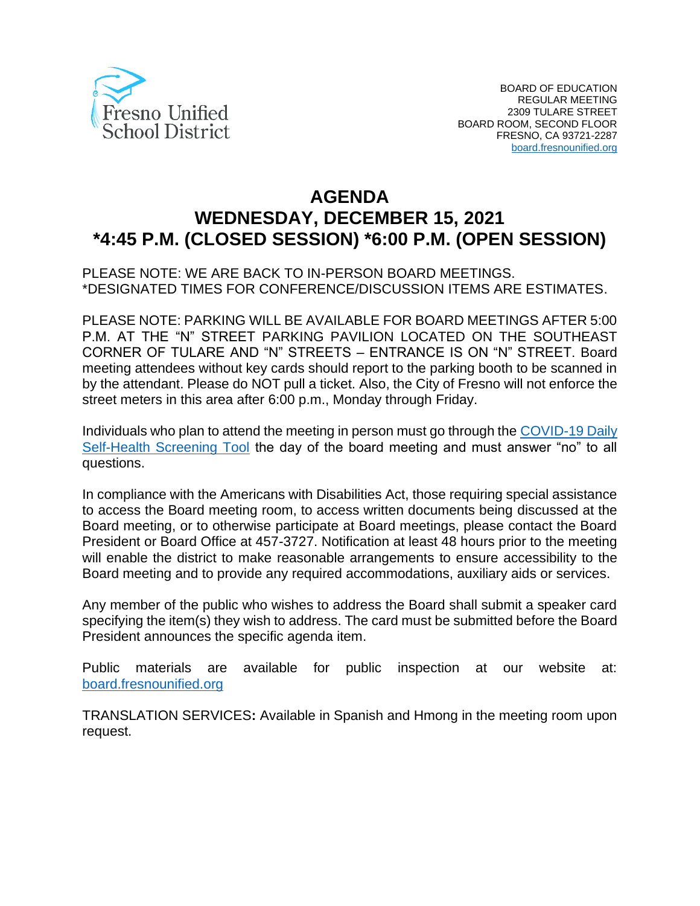

# **AGENDA WEDNESDAY, DECEMBER 15, 2021 \*4:45 P.M. (CLOSED SESSION) \*6:00 P.M. (OPEN SESSION)**

PLEASE NOTE: WE ARE BACK TO IN-PERSON BOARD MEETINGS. \*DESIGNATED TIMES FOR CONFERENCE/DISCUSSION ITEMS ARE ESTIMATES.

PLEASE NOTE: PARKING WILL BE AVAILABLE FOR BOARD MEETINGS AFTER 5:00 P.M. AT THE "N" STREET PARKING PAVILION LOCATED ON THE SOUTHEAST CORNER OF TULARE AND "N" STREETS – ENTRANCE IS ON "N" STREET. Board meeting attendees without key cards should report to the parking booth to be scanned in by the attendant. Please do NOT pull a ticket. Also, the City of Fresno will not enforce the street meters in this area after 6:00 p.m., Monday through Friday.

Individuals who plan to attend the meeting in person must go through the [COVID-19 Daily](https://www.fresnounified.org/covid19/)  [Self-Health Screening Tool](https://www.fresnounified.org/covid19/) the day of the board meeting and must answer "no" to all questions.

In compliance with the Americans with Disabilities Act, those requiring special assistance to access the Board meeting room, to access written documents being discussed at the Board meeting, or to otherwise participate at Board meetings, please contact the Board President or Board Office at 457-3727. Notification at least 48 hours prior to the meeting will enable the district to make reasonable arrangements to ensure accessibility to the Board meeting and to provide any required accommodations, auxiliary aids or services.

Any member of the public who wishes to address the Board shall submit a speaker card specifying the item(s) they wish to address. The card must be submitted before the Board President announces the specific agenda item.

Public materials are available for public inspection at our website at: [board.fresnounified.org](https://board.fresnounified.org/)

TRANSLATION SERVICES**:** Available in Spanish and Hmong in the meeting room upon request.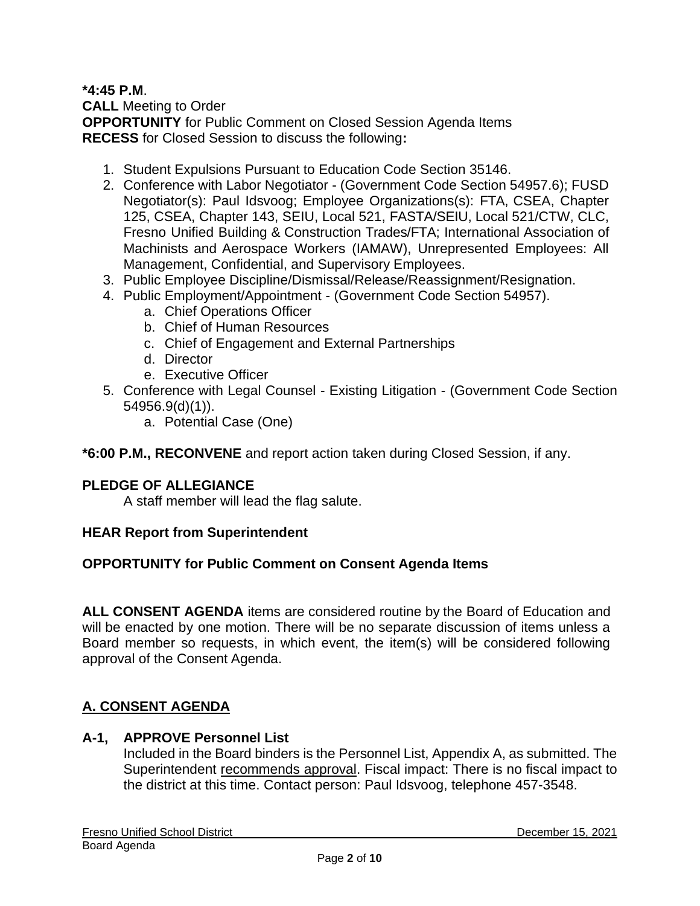#### **\*4:45 P.M**.

**CALL** Meeting to Order **OPPORTUNITY** for Public Comment on Closed Session Agenda Items **RECESS** for Closed Session to discuss the following**:**

- 1. Student Expulsions Pursuant to Education Code Section 35146.
- 2. Conference with Labor Negotiator (Government Code Section 54957.6); FUSD Negotiator(s): Paul Idsvoog; Employee Organizations(s): FTA, CSEA, Chapter 125, CSEA, Chapter 143, SEIU, Local 521, FASTA/SEIU, Local 521/CTW, CLC, Fresno Unified Building & Construction Trades/FTA; International Association of Machinists and Aerospace Workers (IAMAW), Unrepresented Employees: All Management, Confidential, and Supervisory Employees.
- 3. Public Employee Discipline/Dismissal/Release/Reassignment/Resignation.
- 4. Public Employment/Appointment (Government Code Section 54957).
	- a. Chief Operations Officer
	- b. Chief of Human Resources
	- c. Chief of Engagement and External Partnerships
	- d. Director
	- e. Executive Officer
- 5. Conference with Legal Counsel Existing Litigation (Government Code Section 54956.9(d)(1)).
	- a. Potential Case (One)

**\*6:00 P.M., RECONVENE** and report action taken during Closed Session, if any.

### **PLEDGE OF ALLEGIANCE**

A staff member will lead the flag salute.

#### **HEAR Report from Superintendent**

### **OPPORTUNITY for Public Comment on Consent Agenda Items**

**ALL CONSENT AGENDA** items are considered routine by the Board of Education and will be enacted by one motion. There will be no separate discussion of items unless a Board member so requests, in which event, the item(s) will be considered following approval of the Consent Agenda.

# **A. CONSENT AGENDA**

#### **A-1, APPROVE Personnel List**

Included in the Board binders is the Personnel List, Appendix A, as submitted. The Superintendent recommends approval. Fiscal impact: There is no fiscal impact to the district at this time. Contact person: Paul Idsvoog, telephone 457-3548.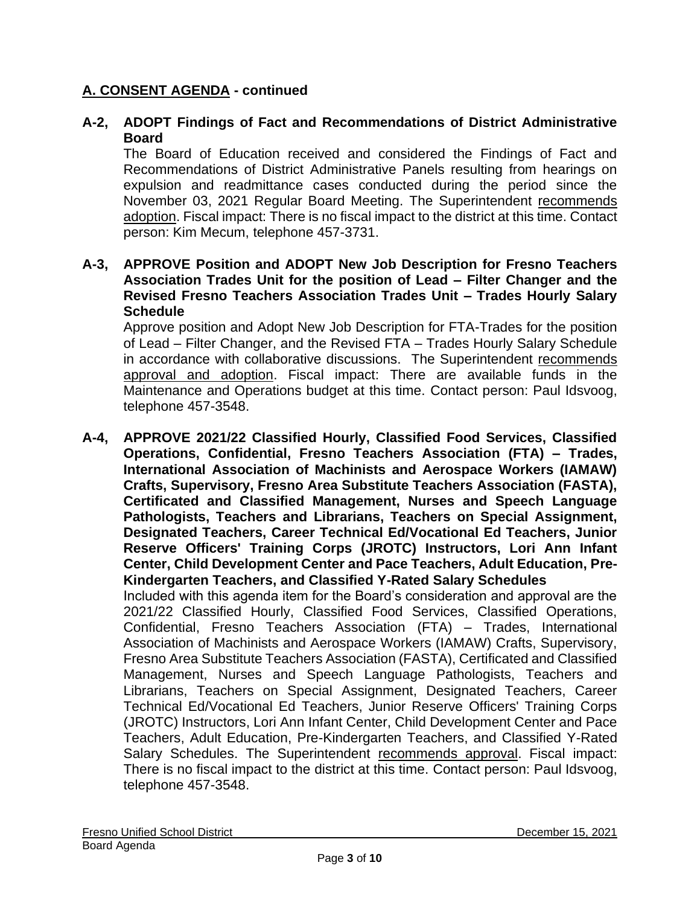### **A-2, ADOPT Findings of Fact and Recommendations of District Administrative Board**

The Board of Education received and considered the Findings of Fact and Recommendations of District Administrative Panels resulting from hearings on expulsion and readmittance cases conducted during the period since the November 03, 2021 Regular Board Meeting. The Superintendent recommends adoption. Fiscal impact: There is no fiscal impact to the district at this time. Contact person: Kim Mecum, telephone 457-3731.

#### **A-3, APPROVE Position and ADOPT New Job Description for Fresno Teachers Association Trades Unit for the position of Lead – Filter Changer and the Revised Fresno Teachers Association Trades Unit – Trades Hourly Salary Schedule**

Approve position and Adopt New Job Description for FTA-Trades for the position of Lead – Filter Changer, and the Revised FTA – Trades Hourly Salary Schedule in accordance with collaborative discussions. The Superintendent recommends approval and adoption. Fiscal impact: There are available funds in the Maintenance and Operations budget at this time. Contact person: Paul Idsvoog, telephone 457-3548.

**A-4, APPROVE 2021/22 Classified Hourly, Classified Food Services, Classified Operations, Confidential, Fresno Teachers Association (FTA) – Trades, International Association of Machinists and Aerospace Workers (IAMAW) Crafts, Supervisory, Fresno Area Substitute Teachers Association (FASTA), Certificated and Classified Management, Nurses and Speech Language Pathologists, Teachers and Librarians, Teachers on Special Assignment, Designated Teachers, Career Technical Ed/Vocational Ed Teachers, Junior Reserve Officers' Training Corps (JROTC) Instructors, Lori Ann Infant Center, Child Development Center and Pace Teachers, Adult Education, Pre-Kindergarten Teachers, and Classified Y-Rated Salary Schedules**

Included with this agenda item for the Board's consideration and approval are the 2021/22 Classified Hourly, Classified Food Services, Classified Operations, Confidential, Fresno Teachers Association (FTA) – Trades, International Association of Machinists and Aerospace Workers (IAMAW) Crafts, Supervisory, Fresno Area Substitute Teachers Association (FASTA), Certificated and Classified Management, Nurses and Speech Language Pathologists, Teachers and Librarians, Teachers on Special Assignment, Designated Teachers, Career Technical Ed/Vocational Ed Teachers, Junior Reserve Officers' Training Corps (JROTC) Instructors, Lori Ann Infant Center, Child Development Center and Pace Teachers, Adult Education, Pre-Kindergarten Teachers, and Classified Y-Rated Salary Schedules. The Superintendent recommends approval. Fiscal impact: There is no fiscal impact to the district at this time. Contact person: Paul Idsvoog, telephone 457-3548.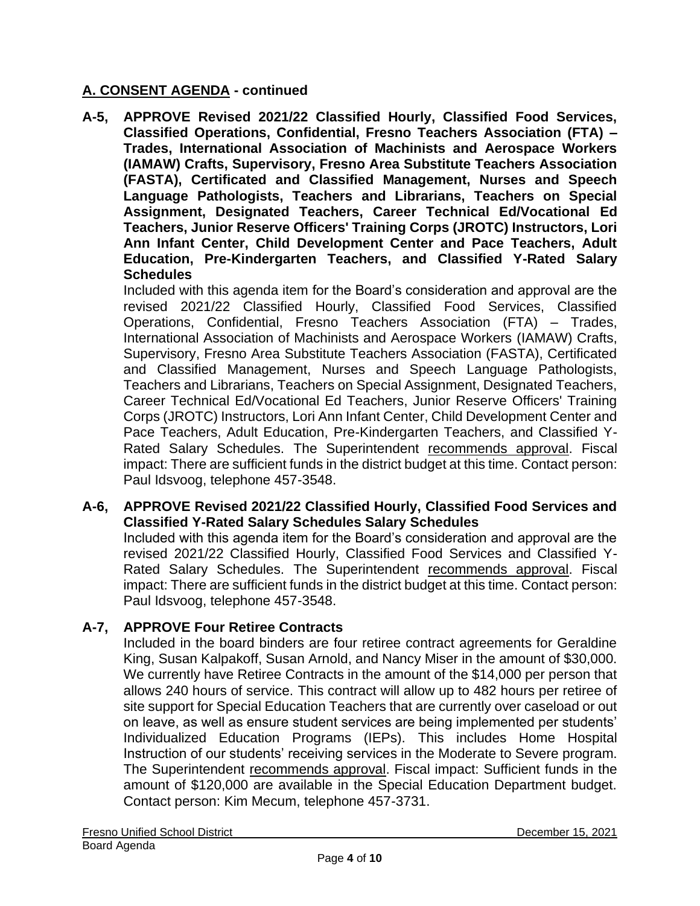**A-5, APPROVE Revised 2021/22 Classified Hourly, Classified Food Services, Classified Operations, Confidential, Fresno Teachers Association (FTA) – Trades, International Association of Machinists and Aerospace Workers (IAMAW) Crafts, Supervisory, Fresno Area Substitute Teachers Association (FASTA), Certificated and Classified Management, Nurses and Speech Language Pathologists, Teachers and Librarians, Teachers on Special Assignment, Designated Teachers, Career Technical Ed/Vocational Ed Teachers, Junior Reserve Officers' Training Corps (JROTC) Instructors, Lori Ann Infant Center, Child Development Center and Pace Teachers, Adult Education, Pre-Kindergarten Teachers, and Classified Y-Rated Salary Schedules**

Included with this agenda item for the Board's consideration and approval are the revised 2021/22 Classified Hourly, Classified Food Services, Classified Operations, Confidential, Fresno Teachers Association (FTA) – Trades, International Association of Machinists and Aerospace Workers (IAMAW) Crafts, Supervisory, Fresno Area Substitute Teachers Association (FASTA), Certificated and Classified Management, Nurses and Speech Language Pathologists, Teachers and Librarians, Teachers on Special Assignment, Designated Teachers, Career Technical Ed/Vocational Ed Teachers, Junior Reserve Officers' Training Corps (JROTC) Instructors, Lori Ann Infant Center, Child Development Center and Pace Teachers, Adult Education, Pre-Kindergarten Teachers, and Classified Y-Rated Salary Schedules. The Superintendent recommends approval. Fiscal impact: There are sufficient funds in the district budget at this time. Contact person: Paul Idsvoog, telephone 457-3548.

#### **A-6, APPROVE Revised 2021/22 Classified Hourly, Classified Food Services and Classified Y-Rated Salary Schedules Salary Schedules**

Included with this agenda item for the Board's consideration and approval are the revised 2021/22 Classified Hourly, Classified Food Services and Classified Y-Rated Salary Schedules. The Superintendent recommends approval. Fiscal impact: There are sufficient funds in the district budget at this time. Contact person: Paul Idsvoog, telephone 457-3548.

### **A-7, APPROVE Four Retiree Contracts**

Included in the board binders are four retiree contract agreements for Geraldine King, Susan Kalpakoff, Susan Arnold, and Nancy Miser in the amount of \$30,000. We currently have Retiree Contracts in the amount of the \$14,000 per person that allows 240 hours of service. This contract will allow up to 482 hours per retiree of site support for Special Education Teachers that are currently over caseload or out on leave, as well as ensure student services are being implemented per students' Individualized Education Programs (IEPs). This includes Home Hospital Instruction of our students' receiving services in the Moderate to Severe program. The Superintendent recommends approval. Fiscal impact: Sufficient funds in the amount of \$120,000 are available in the Special Education Department budget. Contact person: Kim Mecum, telephone 457-3731.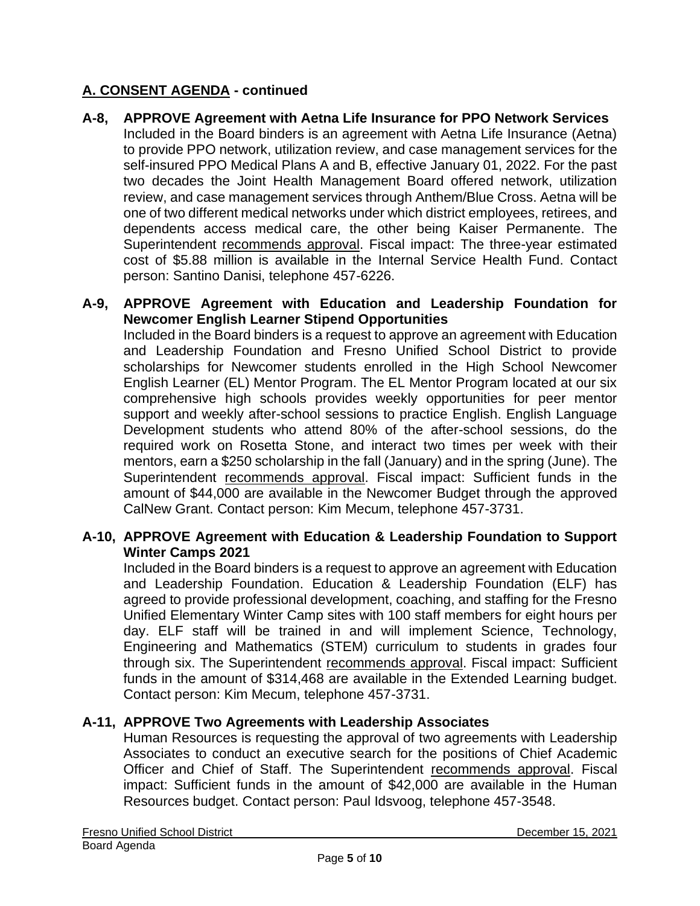### **A-8, APPROVE Agreement with Aetna Life Insurance for PPO Network Services**

Included in the Board binders is an agreement with Aetna Life Insurance (Aetna) to provide PPO network, utilization review, and case management services for the self-insured PPO Medical Plans A and B, effective January 01, 2022. For the past two decades the Joint Health Management Board offered network, utilization review, and case management services through Anthem/Blue Cross. Aetna will be one of two different medical networks under which district employees, retirees, and dependents access medical care, the other being Kaiser Permanente. The Superintendent recommends approval. Fiscal impact: The three-year estimated cost of \$5.88 million is available in the Internal Service Health Fund. Contact person: Santino Danisi, telephone 457-6226.

#### **A-9, APPROVE Agreement with Education and Leadership Foundation for Newcomer English Learner Stipend Opportunities**

Included in the Board binders is a request to approve an agreement with Education and Leadership Foundation and Fresno Unified School District to provide scholarships for Newcomer students enrolled in the High School Newcomer English Learner (EL) Mentor Program. The EL Mentor Program located at our six comprehensive high schools provides weekly opportunities for peer mentor support and weekly after-school sessions to practice English. English Language Development students who attend 80% of the after-school sessions, do the required work on Rosetta Stone, and interact two times per week with their mentors, earn a \$250 scholarship in the fall (January) and in the spring (June). The Superintendent recommends approval. Fiscal impact: Sufficient funds in the amount of \$44,000 are available in the Newcomer Budget through the approved CalNew Grant. Contact person: Kim Mecum, telephone 457-3731.

#### **A-10, APPROVE Agreement with Education & Leadership Foundation to Support Winter Camps 2021**

Included in the Board binders is a request to approve an agreement with Education and Leadership Foundation. Education & Leadership Foundation (ELF) has agreed to provide professional development, coaching, and staffing for the Fresno Unified Elementary Winter Camp sites with 100 staff members for eight hours per day. ELF staff will be trained in and will implement Science, Technology, Engineering and Mathematics (STEM) curriculum to students in grades four through six. The Superintendent recommends approval. Fiscal impact: Sufficient funds in the amount of \$314,468 are available in the Extended Learning budget. Contact person: Kim Mecum, telephone 457-3731.

### **A-11, APPROVE Two Agreements with Leadership Associates**

Human Resources is requesting the approval of two agreements with Leadership Associates to conduct an executive search for the positions of Chief Academic Officer and Chief of Staff. The Superintendent recommends approval. Fiscal impact: Sufficient funds in the amount of \$42,000 are available in the Human Resources budget. Contact person: Paul Idsvoog, telephone 457-3548.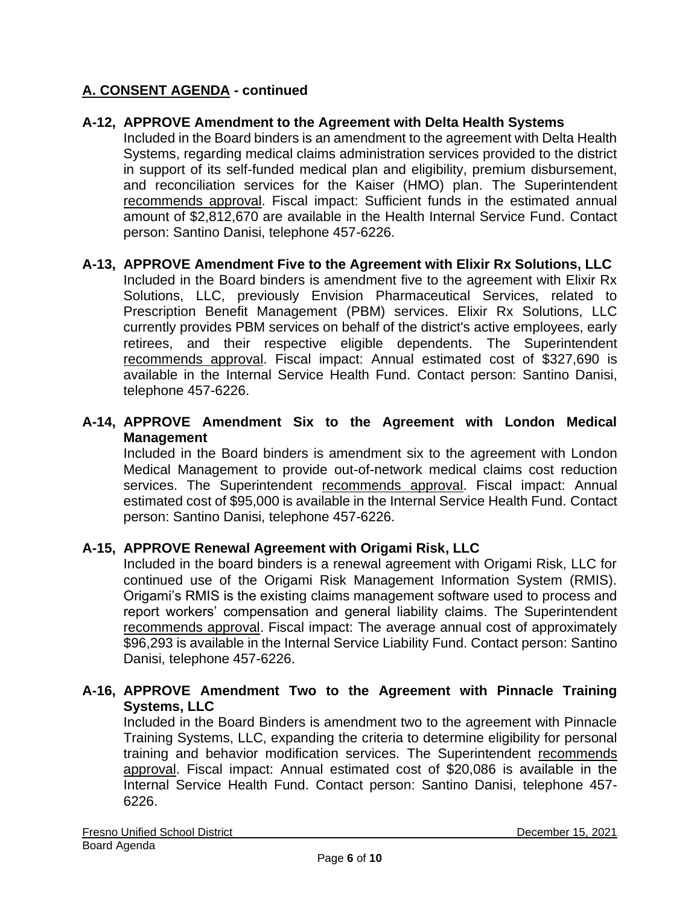#### **A-12, APPROVE Amendment to the Agreement with Delta Health Systems**

Included in the Board binders is an amendment to the agreement with Delta Health Systems, regarding medical claims administration services provided to the district in support of its self-funded medical plan and eligibility, premium disbursement, and reconciliation services for the Kaiser (HMO) plan. The Superintendent recommends approval. Fiscal impact: Sufficient funds in the estimated annual amount of \$2,812,670 are available in the Health Internal Service Fund. Contact person: Santino Danisi, telephone 457-6226.

#### **A-13, APPROVE Amendment Five to the Agreement with Elixir Rx Solutions, LLC**

Included in the Board binders is amendment five to the agreement with Elixir Rx Solutions, LLC, previously Envision Pharmaceutical Services, related to Prescription Benefit Management (PBM) services. Elixir Rx Solutions, LLC currently provides PBM services on behalf of the district's active employees, early retirees, and their respective eligible dependents. The Superintendent recommends approval. Fiscal impact: Annual estimated cost of \$327,690 is available in the Internal Service Health Fund. Contact person: Santino Danisi, telephone 457-6226.

#### **A-14, APPROVE Amendment Six to the Agreement with London Medical Management**

Included in the Board binders is amendment six to the agreement with London Medical Management to provide out-of-network medical claims cost reduction services. The Superintendent recommends approval. Fiscal impact: Annual estimated cost of \$95,000 is available in the Internal Service Health Fund. Contact person: Santino Danisi, telephone 457-6226.

#### **A-15, APPROVE Renewal Agreement with Origami Risk, LLC**

Included in the board binders is a renewal agreement with Origami Risk, LLC for continued use of the Origami Risk Management Information System (RMIS). Origami's RMIS is the existing claims management software used to process and report workers' compensation and general liability claims. The Superintendent recommends approval. Fiscal impact: The average annual cost of approximately \$96,293 is available in the Internal Service Liability Fund. Contact person: Santino Danisi, telephone 457-6226.

#### **A-16, APPROVE Amendment Two to the Agreement with Pinnacle Training Systems, LLC**

Included in the Board Binders is amendment two to the agreement with Pinnacle Training Systems, LLC, expanding the criteria to determine eligibility for personal training and behavior modification services. The Superintendent recommends approval. Fiscal impact: Annual estimated cost of \$20,086 is available in the Internal Service Health Fund. Contact person: Santino Danisi, telephone 457- 6226.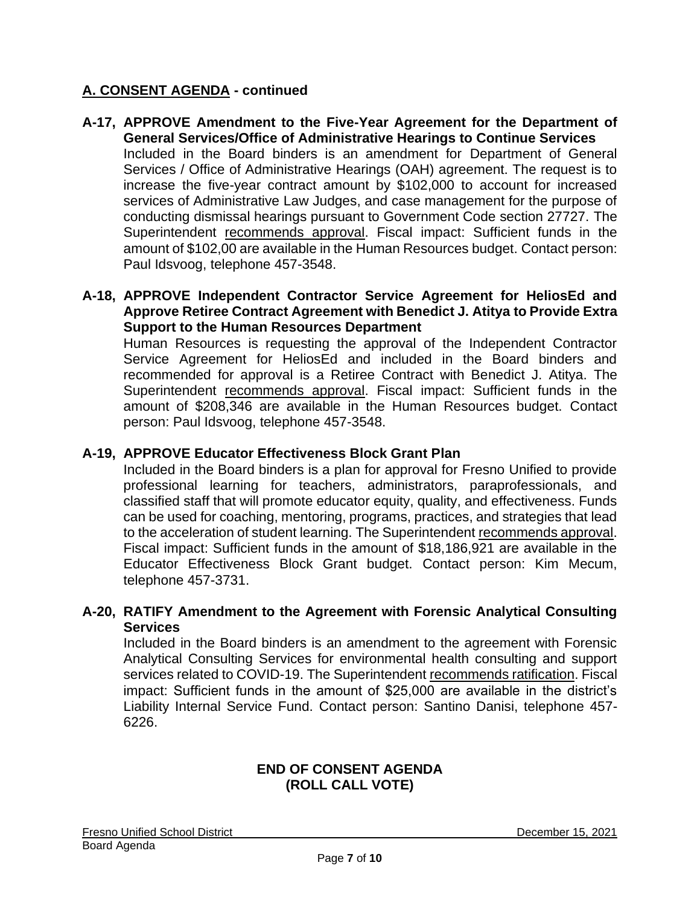**A-17, APPROVE Amendment to the Five-Year Agreement for the Department of General Services/Office of Administrative Hearings to Continue Services** Included in the Board binders is an amendment for Department of General Services / Office of Administrative Hearings (OAH) agreement. The request is to increase the five-year contract amount by \$102,000 to account for increased services of Administrative Law Judges, and case management for the purpose of conducting dismissal hearings pursuant to Government Code section 27727. The Superintendent recommends approval. Fiscal impact: Sufficient funds in the amount of \$102,00 are available in the Human Resources budget. Contact person: Paul Idsvoog, telephone 457-3548.

#### **A-18, APPROVE Independent Contractor Service Agreement for HeliosEd and Approve Retiree Contract Agreement with Benedict J. Atitya to Provide Extra Support to the Human Resources Department**

Human Resources is requesting the approval of the Independent Contractor Service Agreement for HeliosEd and included in the Board binders and recommended for approval is a Retiree Contract with Benedict J. Atitya. The Superintendent recommends approval. Fiscal impact: Sufficient funds in the amount of \$208,346 are available in the Human Resources budget. Contact person: Paul Idsvoog, telephone 457-3548.

### **A-19, APPROVE Educator Effectiveness Block Grant Plan**

Included in the Board binders is a plan for approval for Fresno Unified to provide professional learning for teachers, administrators, paraprofessionals, and classified staff that will promote educator equity, quality, and effectiveness. Funds can be used for coaching, mentoring, programs, practices, and strategies that lead to the acceleration of student learning. The Superintendent recommends approval. Fiscal impact: Sufficient funds in the amount of \$18,186,921 are available in the Educator Effectiveness Block Grant budget. Contact person: Kim Mecum, telephone 457-3731.

#### **A-20, RATIFY Amendment to the Agreement with Forensic Analytical Consulting Services**

Included in the Board binders is an amendment to the agreement with Forensic Analytical Consulting Services for environmental health consulting and support services related to COVID-19. The Superintendent recommends ratification. Fiscal impact: Sufficient funds in the amount of \$25,000 are available in the district's Liability Internal Service Fund. Contact person: Santino Danisi, telephone 457- 6226.

### **END OF CONSENT AGENDA (ROLL CALL VOTE)**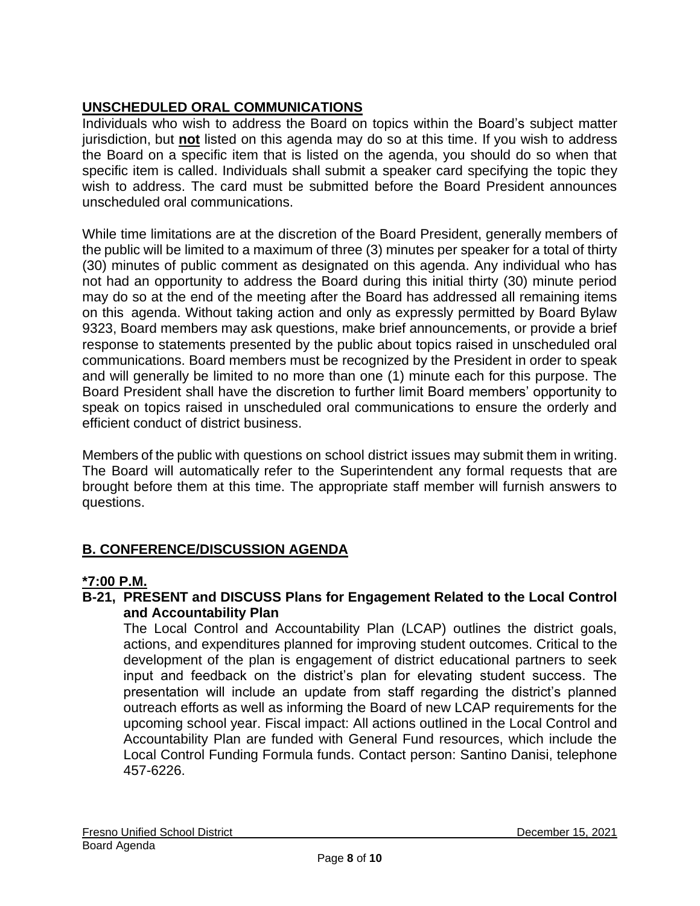# **UNSCHEDULED ORAL COMMUNICATIONS**

Individuals who wish to address the Board on topics within the Board's subject matter jurisdiction, but **not** listed on this agenda may do so at this time. If you wish to address the Board on a specific item that is listed on the agenda, you should do so when that specific item is called. Individuals shall submit a speaker card specifying the topic they wish to address. The card must be submitted before the Board President announces unscheduled oral communications.

While time limitations are at the discretion of the Board President, generally members of the public will be limited to a maximum of three (3) minutes per speaker for a total of thirty (30) minutes of public comment as designated on this agenda. Any individual who has not had an opportunity to address the Board during this initial thirty (30) minute period may do so at the end of the meeting after the Board has addressed all remaining items on this agenda. Without taking action and only as expressly permitted by Board Bylaw 9323, Board members may ask questions, make brief announcements, or provide a brief response to statements presented by the public about topics raised in unscheduled oral communications. Board members must be recognized by the President in order to speak and will generally be limited to no more than one (1) minute each for this purpose. The Board President shall have the discretion to further limit Board members' opportunity to speak on topics raised in unscheduled oral communications to ensure the orderly and efficient conduct of district business.

Members of the public with questions on school district issues may submit them in writing. The Board will automatically refer to the Superintendent any formal requests that are brought before them at this time. The appropriate staff member will furnish answers to questions.

# **B. CONFERENCE/DISCUSSION AGENDA**

# **\*7:00 P.M.**

### **B-21, PRESENT and DISCUSS Plans for Engagement Related to the Local Control and Accountability Plan**

The Local Control and Accountability Plan (LCAP) outlines the district goals, actions, and expenditures planned for improving student outcomes. Critical to the development of the plan is engagement of district educational partners to seek input and feedback on the district's plan for elevating student success. The presentation will include an update from staff regarding the district's planned outreach efforts as well as informing the Board of new LCAP requirements for the upcoming school year. Fiscal impact: All actions outlined in the Local Control and Accountability Plan are funded with General Fund resources, which include the Local Control Funding Formula funds. Contact person: Santino Danisi, telephone 457-6226.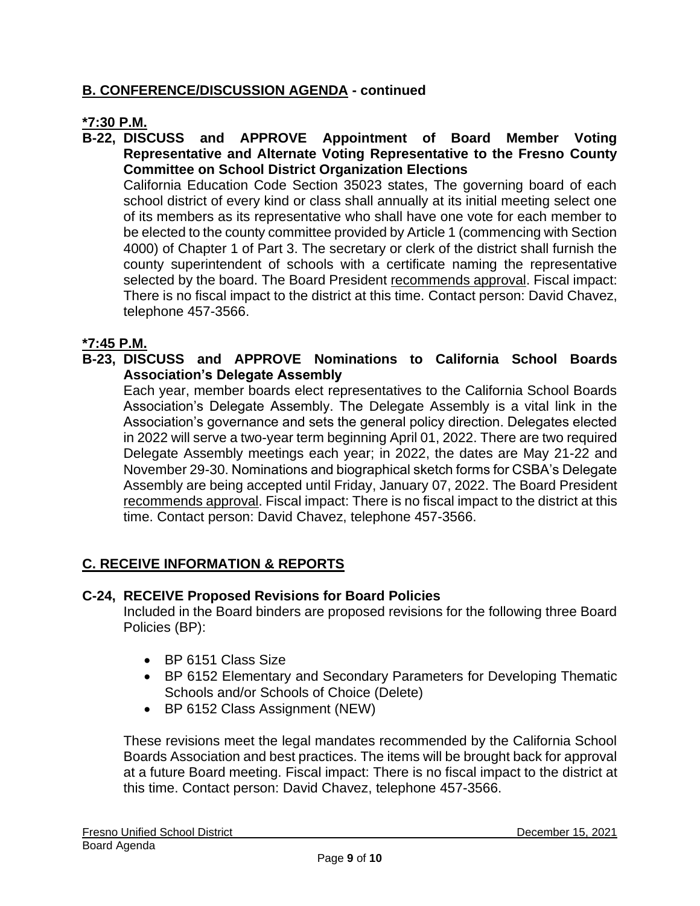### **B. CONFERENCE/DISCUSSION AGENDA - continued**

### **\*7:30 P.M.**

**B-22, DISCUSS and APPROVE Appointment of Board Member Voting Representative and Alternate Voting Representative to the Fresno County Committee on School District Organization Elections**

California Education Code Section 35023 states, The governing board of each school district of every kind or class shall annually at its initial meeting select one of its members as its representative who shall have one vote for each member to be elected to the county committee provided by Article 1 (commencing with Section 4000) of Chapter 1 of Part 3. The secretary or clerk of the district shall furnish the county superintendent of schools with a certificate naming the representative selected by the board. The Board President recommends approval. Fiscal impact: There is no fiscal impact to the district at this time. Contact person: David Chavez, telephone 457-3566.

### **\*7:45 P.M.**

**B-23, DISCUSS and APPROVE Nominations to California School Boards Association's Delegate Assembly**

Each year, member boards elect representatives to the California School Boards Association's Delegate Assembly. The Delegate Assembly is a vital link in the Association's governance and sets the general policy direction. Delegates elected in 2022 will serve a two-year term beginning April 01, 2022. There are two required Delegate Assembly meetings each year; in 2022, the dates are May 21-22 and November 29-30. Nominations and biographical sketch forms for CSBA's Delegate Assembly are being accepted until Friday, January 07, 2022. The Board President recommends approval. Fiscal impact: There is no fiscal impact to the district at this time. Contact person: David Chavez, telephone 457-3566.

### **C. RECEIVE INFORMATION & REPORTS**

#### **C-24, RECEIVE Proposed Revisions for Board Policies**

Included in the Board binders are proposed revisions for the following three Board Policies (BP):

- BP 6151 Class Size
- BP 6152 Elementary and Secondary Parameters for Developing Thematic Schools and/or Schools of Choice (Delete)
- BP 6152 Class Assignment (NEW)

These revisions meet the legal mandates recommended by the California School Boards Association and best practices. The items will be brought back for approval at a future Board meeting. Fiscal impact: There is no fiscal impact to the district at this time. Contact person: David Chavez, telephone 457-3566.